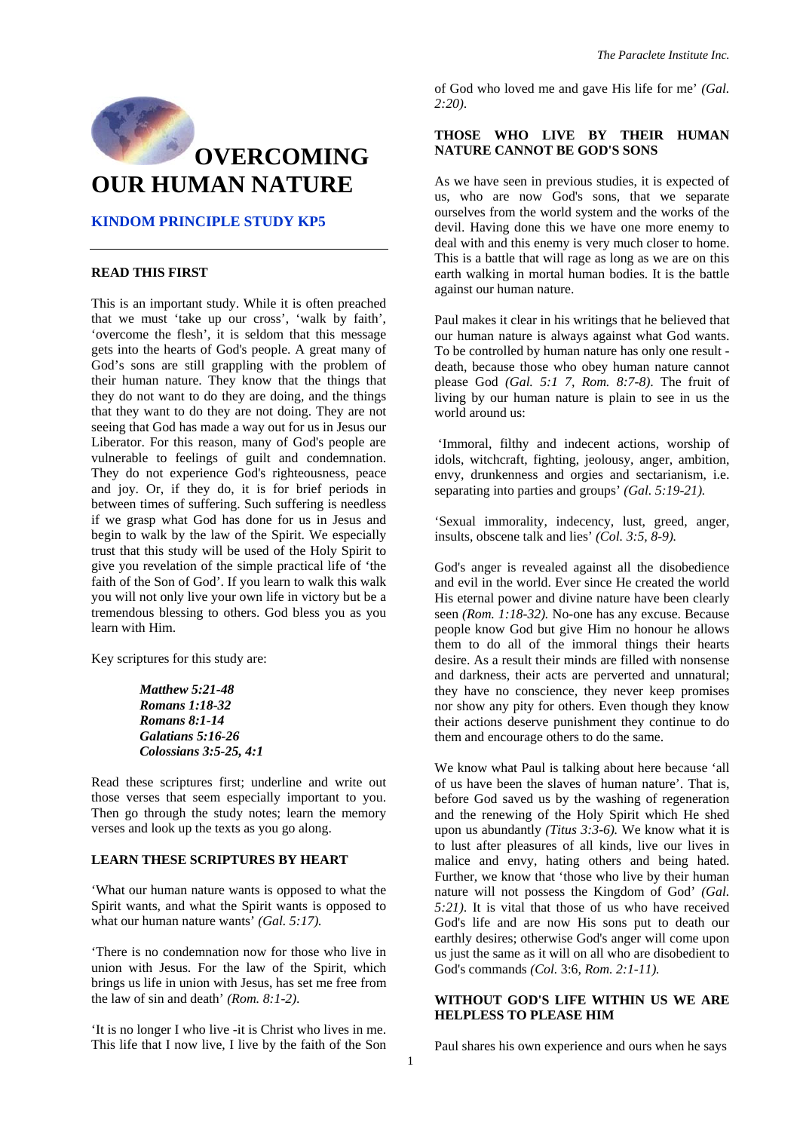

#### **KINDOM PRINCIPLE STUDY KP5**

# **READ THIS FIRST**

This is an important study. While it is often preached that we must 'take up our cross', 'walk by faith', 'overcome the flesh', it is seldom that this message gets into the hearts of God's people. A great many of God's sons are still grappling with the problem of their human nature. They know that the things that they do not want to do they are doing, and the things that they want to do they are not doing. They are not seeing that God has made a way out for us in Jesus our Liberator. For this reason, many of God's people are vulnerable to feelings of guilt and condemnation. They do not experience God's righteousness, peace and joy. Or, if they do, it is for brief periods in between times of suffering. Such suffering is needless if we grasp what God has done for us in Jesus and begin to walk by the law of the Spirit. We especially trust that this study will be used of the Holy Spirit to give you revelation of the simple practical life of 'the faith of the Son of God'. If you learn to walk this walk you will not only live your own life in victory but be a tremendous blessing to others. God bless you as you learn with Him.

Key scriptures for this study are:

*Matthew 5:21-48 Romans 1:18-32 Romans 8:1-14 Galatians 5:16-26 Colossians 3:5-25, 4:1*

Read these scriptures first; underline and write out those verses that seem especially important to you. Then go through the study notes; learn the memory verses and look up the texts as you go along.

#### **LEARN THESE SCRIPTURES BY HEART**

'What our human nature wants is opposed to what the Spirit wants, and what the Spirit wants is opposed to what our human nature wants<sup>'</sup> *(Gal. 5:17).* 

'There is no condemnation now for those who live in union with Jesus. For the law of the Spirit, which brings us life in union with Jesus, has set me free from the law of sin and death' *(Rom. 8:1-2)*.

'It is no longer I who live -it is Christ who lives in me. This life that I now live, I live by the faith of the Son of God who loved me and gave His life for me' *(Gal. 2:20)*.

#### **THOSE WHO LIVE BY THEIR HUMAN NATURE CANNOT BE GOD'S SONS**

As we have seen in previous studies, it is expected of us, who are now God's sons, that we separate ourselves from the world system and the works of the devil. Having done this we have one more enemy to deal with and this enemy is very much closer to home. This is a battle that will rage as long as we are on this earth walking in mortal human bodies. It is the battle against our human nature.

Paul makes it clear in his writings that he believed that our human nature is always against what God wants. To be controlled by human nature has only one result death, because those who obey human nature cannot please God *(Gal. 5:1 7, Rom. 8:7-8)*. The fruit of living by our human nature is plain to see in us the world around us:

 'Immoral, filthy and indecent actions, worship of idols, witchcraft, fighting, jeolousy, anger, ambition, envy, drunkenness and orgies and sectarianism, i.e. separating into parties and groups' *(Gal. 5:19-21).* 

'Sexual immorality, indecency, lust, greed, anger, insults, obscene talk and lies' *(Col. 3:5, 8-9).*

God's anger is revealed against all the disobedience and evil in the world. Ever since He created the world His eternal power and divine nature have been clearly seen *(Rom. 1:18-32).* No-one has any excuse. Because people know God but give Him no honour he allows them to do all of the immoral things their hearts desire. As a result their minds are filled with nonsense and darkness, their acts are perverted and unnatural; they have no conscience, they never keep promises nor show any pity for others. Even though they know their actions deserve punishment they continue to do them and encourage others to do the same.

We know what Paul is talking about here because 'all of us have been the slaves of human nature'. That is, before God saved us by the washing of regeneration and the renewing of the Holy Spirit which He shed upon us abundantly *(Titus 3:3-6).* We know what it is to lust after pleasures of all kinds, live our lives in malice and envy, hating others and being hated. Further, we know that 'those who live by their human nature will not possess the Kingdom of God' *(Gal. 5:21)*. It is vital that those of us who have received God's life and are now His sons put to death our earthly desires; otherwise God's anger will come upon us just the same as it will on all who are disobedient to God's commands *(Col.* 3:6, *Rom. 2:1-11).* 

# **WITHOUT GOD'S LIFE WITHIN US WE ARE HELPLESS TO PLEASE HIM**

Paul shares his own experience and ours when he says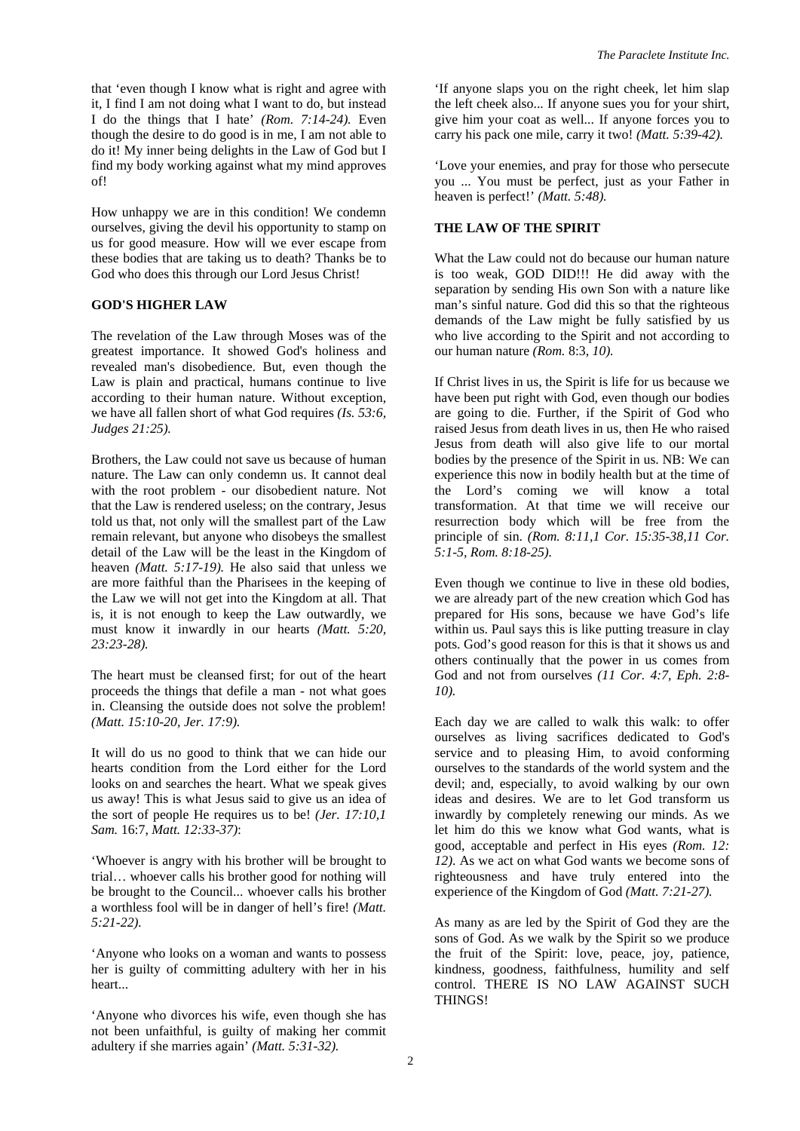that 'even though I know what is right and agree with it, I find I am not doing what I want to do, but instead I do the things that I hate' *(Rom. 7:14-24).* Even though the desire to do good is in me, I am not able to do it! My inner being delights in the Law of God but I find my body working against what my mind approves of!

How unhappy we are in this condition! We condemn ourselves, giving the devil his opportunity to stamp on us for good measure. How will we ever escape from these bodies that are taking us to death? Thanks be to God who does this through our Lord Jesus Christ!

#### **GOD'S HIGHER LAW**

The revelation of the Law through Moses was of the greatest importance. It showed God's holiness and revealed man's disobedience. But, even though the Law is plain and practical, humans continue to live according to their human nature. Without exception, we have all fallen short of what God requires *(Is. 53:6, Judges 21:25).* 

Brothers, the Law could not save us because of human nature. The Law can only condemn us. It cannot deal with the root problem - our disobedient nature. Not that the Law is rendered useless; on the contrary, Jesus told us that, not only will the smallest part of the Law remain relevant, but anyone who disobeys the smallest detail of the Law will be the least in the Kingdom of heaven *(Matt. 5:17-19).* He also said that unless we are more faithful than the Pharisees in the keeping of the Law we will not get into the Kingdom at all. That is, it is not enough to keep the Law outwardly, we must know it inwardly in our hearts *(Matt. 5:20, 23:23-28).* 

The heart must be cleansed first; for out of the heart proceeds the things that defile a man - not what goes in. Cleansing the outside does not solve the problem! *(Matt. 15:10-20, Jer. 17:9).* 

It will do us no good to think that we can hide our hearts condition from the Lord either for the Lord looks on and searches the heart. What we speak gives us away! This is what Jesus said to give us an idea of the sort of people He requires us to be! *(Jer. 17:10,1 Sam.* 16:7, *Matt. 12:33-37)*:

'Whoever is angry with his brother will be brought to trial… whoever calls his brother good for nothing will be brought to the Council... whoever calls his brother a worthless fool will be in danger of hell's fire! *(Matt. 5:21-22).* 

'Anyone who looks on a woman and wants to possess her is guilty of committing adultery with her in his heart...

'Anyone who divorces his wife, even though she has not been unfaithful, is guilty of making her commit adultery if she marries again' *(Matt. 5:31-32).* 

'If anyone slaps you on the right cheek, let him slap the left cheek also... If anyone sues you for your shirt, give him your coat as well... If anyone forces you to carry his pack one mile, carry it two! *(Matt. 5:39-42).*

'Love your enemies, and pray for those who persecute you ... You must be perfect, just as your Father in heaven is perfect!' *(Matt. 5:48).* 

# **THE LAW OF THE SPIRIT**

What the Law could not do because our human nature is too weak, GOD DID!!! He did away with the separation by sending His own Son with a nature like man's sinful nature. God did this so that the righteous demands of the Law might be fully satisfied by us who live according to the Spirit and not according to our human nature *(Rom.* 8:3, *10).* 

If Christ lives in us, the Spirit is life for us because we have been put right with God, even though our bodies are going to die. Further, if the Spirit of God who raised Jesus from death lives in us, then He who raised Jesus from death will also give life to our mortal bodies by the presence of the Spirit in us. NB: We can experience this now in bodily health but at the time of the Lord's coming we will know a total transformation. At that time we will receive our resurrection body which will be free from the principle of sin. *(Rom. 8:11,1 Cor. 15:35-38,11 Cor. 5:1-5, Rom. 8:18-25).* 

Even though we continue to live in these old bodies, we are already part of the new creation which God has prepared for His sons, because we have God's life within us. Paul says this is like putting treasure in clay pots. God's good reason for this is that it shows us and others continually that the power in us comes from God and not from ourselves *(11 Cor. 4:7, Eph. 2:8- 10).* 

Each day we are called to walk this walk: to offer ourselves as living sacrifices dedicated to God's service and to pleasing Him, to avoid conforming ourselves to the standards of the world system and the devil; and, especially, to avoid walking by our own ideas and desires. We are to let God transform us inwardly by completely renewing our minds. As we let him do this we know what God wants, what is good, acceptable and perfect in His eyes *(Rom. 12: 12)*. As we act on what God wants we become sons of righteousness and have truly entered into the experience of the Kingdom of God *(Matt. 7:21-27).* 

As many as are led by the Spirit of God they are the sons of God. As we walk by the Spirit so we produce the fruit of the Spirit: love, peace, joy, patience, kindness, goodness, faithfulness, humility and self control. THERE IS NO LAW AGAINST SUCH THINGS!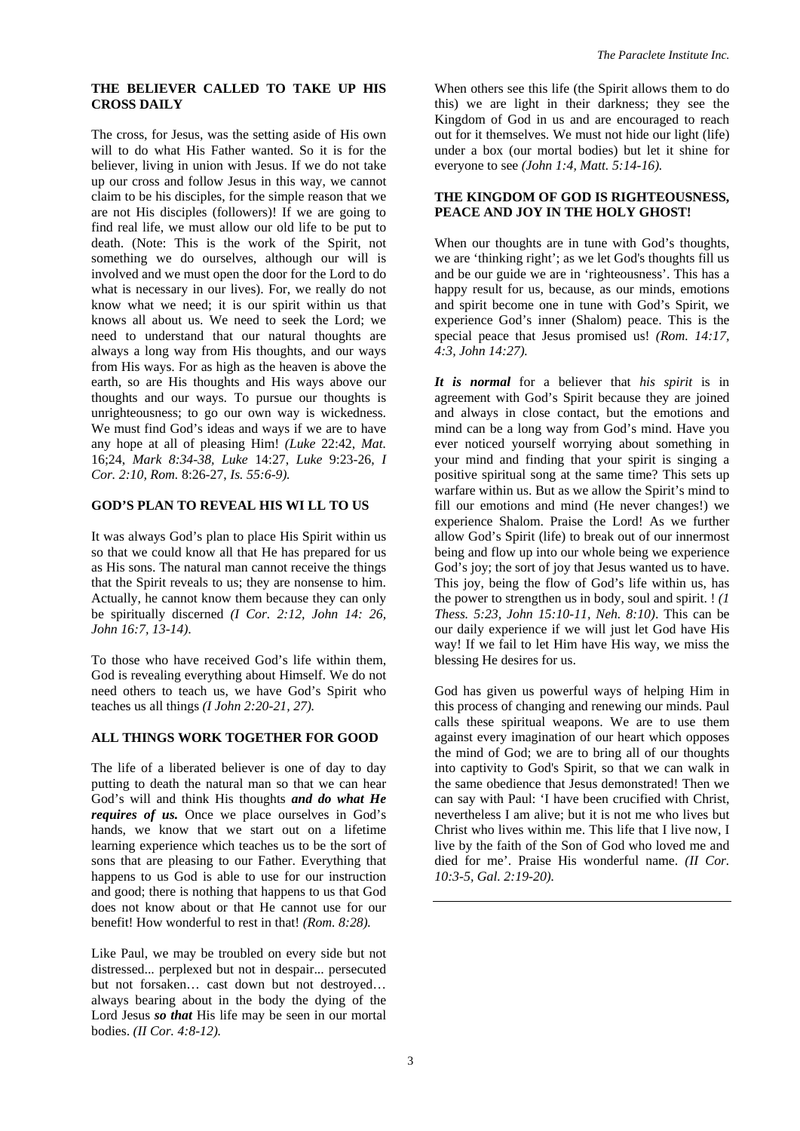## **THE BELIEVER CALLED TO TAKE UP HIS CROSS DAILY**

The cross, for Jesus, was the setting aside of His own will to do what His Father wanted. So it is for the believer, living in union with Jesus. If we do not take up our cross and follow Jesus in this way, we cannot claim to be his disciples, for the simple reason that we are not His disciples (followers)! If we are going to find real life, we must allow our old life to be put to death. (Note: This is the work of the Spirit, not something we do ourselves, although our will is involved and we must open the door for the Lord to do what is necessary in our lives). For, we really do not know what we need; it is our spirit within us that knows all about us. We need to seek the Lord; we need to understand that our natural thoughts are always a long way from His thoughts, and our ways from His ways. For as high as the heaven is above the earth, so are His thoughts and His ways above our thoughts and our ways. To pursue our thoughts is unrighteousness; to go our own way is wickedness. We must find God's ideas and ways if we are to have any hope at all of pleasing Him! *(Luke* 22:42, *Mat.*  16;24, *Mark 8:34-38, Luke* 14:27, *Luke* 9:23-26, *I Cor. 2:10, Rom.* 8:26-27, *Is. 55:6-9).* 

## **GOD'S PLAN TO REVEAL HIS WI LL TO US**

It was always God's plan to place His Spirit within us so that we could know all that He has prepared for us as His sons. The natural man cannot receive the things that the Spirit reveals to us; they are nonsense to him. Actually, he cannot know them because they can only be spiritually discerned *(I Cor. 2:12, John 14: 26, John 16:7, 13-14)*.

To those who have received God's life within them, God is revealing everything about Himself. We do not need others to teach us, we have God's Spirit who teaches us all things *(I John 2:20-21, 27).* 

## **ALL THINGS WORK TOGETHER FOR GOOD**

The life of a liberated believer is one of day to day putting to death the natural man so that we can hear God's will and think His thoughts *and do what He requires of us.* Once we place ourselves in God's hands, we know that we start out on a lifetime learning experience which teaches us to be the sort of sons that are pleasing to our Father. Everything that happens to us God is able to use for our instruction and good; there is nothing that happens to us that God does not know about or that He cannot use for our benefit! How wonderful to rest in that! *(Rom. 8:28).* 

Like Paul, we may be troubled on every side but not distressed... perplexed but not in despair... persecuted but not forsaken… cast down but not destroyed… always bearing about in the body the dying of the Lord Jesus *so that* His life may be seen in our mortal bodies. *(II Cor. 4:8-12).* 

When others see this life (the Spirit allows them to do this) we are light in their darkness; they see the Kingdom of God in us and are encouraged to reach out for it themselves. We must not hide our light (life) under a box (our mortal bodies) but let it shine for everyone to see *(John 1:4, Matt. 5:14-16).*

## **THE KINGDOM OF GOD IS RIGHTEOUSNESS, PEACE AND JOY IN THE HOLY GHOST!**

When our thoughts are in tune with God's thoughts, we are 'thinking right'; as we let God's thoughts fill us and be our guide we are in 'righteousness'. This has a happy result for us, because, as our minds, emotions and spirit become one in tune with God's Spirit, we experience God's inner (Shalom) peace. This is the special peace that Jesus promised us! *(Rom. 14:17, 4:3, John 14:27).* 

*It is normal* for a believer that *his spirit* is in agreement with God's Spirit because they are joined and always in close contact, but the emotions and mind can be a long way from God's mind. Have you ever noticed yourself worrying about something in your mind and finding that your spirit is singing a positive spiritual song at the same time? This sets up warfare within us. But as we allow the Spirit's mind to fill our emotions and mind (He never changes!) we experience Shalom. Praise the Lord! As we further allow God's Spirit (life) to break out of our innermost being and flow up into our whole being we experience God's joy; the sort of joy that Jesus wanted us to have. This joy, being the flow of God's life within us, has the power to strengthen us in body, soul and spirit. ! *(1 Thess. 5:23, John 15:10-11, Neh. 8:10)*. This can be our daily experience if we will just let God have His way! If we fail to let Him have His way, we miss the blessing He desires for us.

God has given us powerful ways of helping Him in this process of changing and renewing our minds. Paul calls these spiritual weapons. We are to use them against every imagination of our heart which opposes the mind of God; we are to bring all of our thoughts into captivity to God's Spirit, so that we can walk in the same obedience that Jesus demonstrated! Then we can say with Paul: 'I have been crucified with Christ, nevertheless I am alive; but it is not me who lives but Christ who lives within me. This life that I live now, I live by the faith of the Son of God who loved me and died for me'. Praise His wonderful name. *(II Cor. 10:3-5, Gal. 2:19-20).*